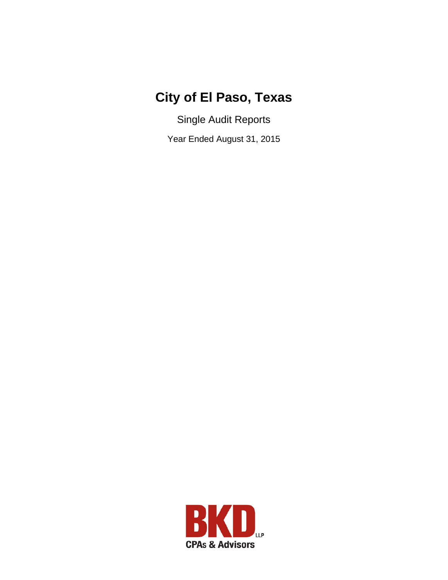# **City of El Paso, Texas**

Single Audit Reports

Year Ended August 31, 2015

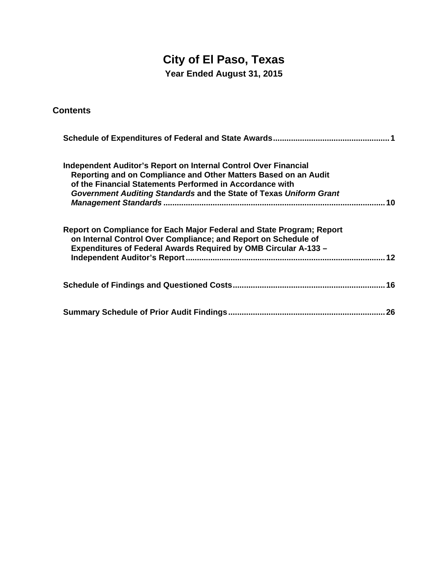## **City of El Paso, Texas Year Ended August 31, 2015**

| <b>Contents</b>                                                                                                                                                                                                                                                             |
|-----------------------------------------------------------------------------------------------------------------------------------------------------------------------------------------------------------------------------------------------------------------------------|
|                                                                                                                                                                                                                                                                             |
| <b>Independent Auditor's Report on Internal Control Over Financial</b><br>Reporting and on Compliance and Other Matters Based on an Audit<br>of the Financial Statements Performed in Accordance with<br>Government Auditing Standards and the State of Texas Uniform Grant |
| Report on Compliance for Each Major Federal and State Program; Report<br>on Internal Control Over Compliance; and Report on Schedule of<br>Expenditures of Federal Awards Required by OMB Circular A-133 -                                                                  |
|                                                                                                                                                                                                                                                                             |
| 26                                                                                                                                                                                                                                                                          |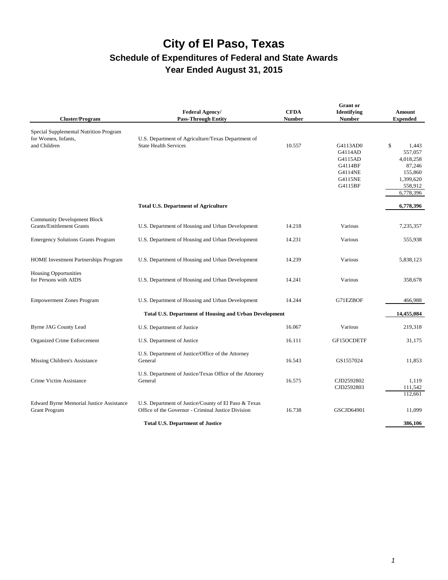| <b>Cluster/Program</b>                                                  | <b>Federal Agency/</b><br><b>Pass-Through Entity</b>                                                       | <b>CFDA</b><br><b>Number</b> | <b>Grant</b> or<br>Identifying<br><b>Number</b>                            | <b>Amount</b><br><b>Expended</b>                                                              |
|-------------------------------------------------------------------------|------------------------------------------------------------------------------------------------------------|------------------------------|----------------------------------------------------------------------------|-----------------------------------------------------------------------------------------------|
| Special Supplemental Nutrition Program                                  |                                                                                                            |                              |                                                                            |                                                                                               |
| for Women, Infants,<br>and Children                                     | U.S. Department of Agriculture/Texas Department of<br><b>State Health Services</b>                         | 10.557                       | G4113AD0<br>G4114AD<br>G4115AD<br>G4114BF<br>G4114NE<br>G4115NE<br>G4115BF | \$<br>1,443<br>557,057<br>4,018,258<br>87,246<br>155,860<br>1,399,620<br>558,912<br>6,778,396 |
|                                                                         | <b>Total U.S. Department of Agriculture</b>                                                                |                              |                                                                            | 6,778,396                                                                                     |
| <b>Community Development Block</b><br><b>Grants/Entitlement Grants</b>  | U.S. Department of Housing and Urban Development                                                           | 14.218                       | Various                                                                    | 7,235,357                                                                                     |
| <b>Emergency Solutions Grants Program</b>                               | U.S. Department of Housing and Urban Development                                                           | 14.231                       | Various                                                                    | 555,938                                                                                       |
| <b>HOME</b> Investment Partnerships Program                             | U.S. Department of Housing and Urban Development                                                           | 14.239                       | Various                                                                    | 5,838,123                                                                                     |
| <b>Housing Opportunities</b><br>for Persons with AIDS                   | U.S. Department of Housing and Urban Development                                                           | 14.241                       | Various                                                                    | 358,678                                                                                       |
| <b>Empowerment Zones Program</b>                                        | U.S. Department of Housing and Urban Development                                                           | 14.244                       | G71EZBOF                                                                   | 466,988                                                                                       |
|                                                                         | <b>Total U.S. Department of Housing and Urban Development</b>                                              |                              |                                                                            | 14,455,084                                                                                    |
| <b>Byrne JAG County Lead</b>                                            | U.S. Department of Justice                                                                                 | 16.067                       | Various                                                                    | 219,318                                                                                       |
| Organized Crime Enforcement                                             | U.S. Department of Justice                                                                                 | 16.111                       | GF15OCDETF                                                                 | 31,175                                                                                        |
| Missing Children's Assistance                                           | U.S. Department of Justice/Office of the Attorney<br>General                                               | 16.543                       | GS1557024                                                                  | 11,853                                                                                        |
| Crime Victim Assistance                                                 | U.S. Department of Justice/Texas Office of the Attorney<br>General                                         | 16.575                       | CJD2592802<br>CJD2592803                                                   | 1,119<br>111,542<br>112,661                                                                   |
| <b>Edward Byrne Memorial Justice Assistance</b><br><b>Grant Program</b> | U.S. Department of Justice/County of El Paso & Texas<br>Office of the Governor - Criminal Justice Division | 16.738                       | GSCJD64901                                                                 | 11,099                                                                                        |
|                                                                         | <b>Total U.S. Department of Justice</b>                                                                    |                              |                                                                            | 386,106                                                                                       |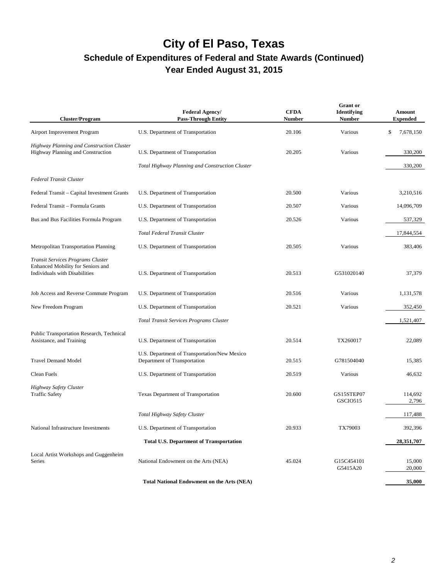| <b>Cluster/Program</b>                                                                                  | <b>Federal Agency/</b><br><b>Pass-Through Entity</b>                         | <b>CFDA</b><br><b>Number</b> | <b>Grant</b> or<br><b>Identifying</b><br><b>Number</b> | <b>Amount</b><br><b>Expended</b> |
|---------------------------------------------------------------------------------------------------------|------------------------------------------------------------------------------|------------------------------|--------------------------------------------------------|----------------------------------|
| Airport Improvement Program                                                                             | U.S. Department of Transportation                                            | 20.106                       | Various                                                | \$<br>7,678,150                  |
| Highway Planning and Construction Cluster<br>Highway Planning and Construction                          | U.S. Department of Transportation                                            | 20.205                       | Various                                                | 330,200                          |
|                                                                                                         | Total Highway Planning and Construction Cluster                              |                              |                                                        | 330,200                          |
| <b>Federal Transit Cluster</b>                                                                          |                                                                              |                              |                                                        |                                  |
| Federal Transit – Capital Investment Grants                                                             | U.S. Department of Transportation                                            | 20.500                       | Various                                                | 3,210,516                        |
| Federal Transit - Formula Grants                                                                        | U.S. Department of Transportation                                            | 20.507                       | Various                                                | 14,096,709                       |
| Bus and Bus Facilities Formula Program                                                                  | U.S. Department of Transportation                                            | 20.526                       | Various                                                | 537,329                          |
|                                                                                                         | <b>Total Federal Transit Cluster</b>                                         |                              |                                                        | 17,844,554                       |
| Metropolitan Transportation Planning                                                                    | U.S. Department of Transportation                                            | 20.505                       | Various                                                | 383,406                          |
| Transit Services Programs Cluster<br>Enhanced Mobility for Seniors and<br>Individuals with Disabilities | U.S. Department of Transportation                                            | 20.513                       | G531020140                                             | 37,379                           |
| Job Access and Reverse Commute Program                                                                  | U.S. Department of Transportation                                            | 20.516                       | Various                                                | 1,131,578                        |
| New Freedom Program                                                                                     | U.S. Department of Transportation                                            | 20.521                       | Various                                                | 352,450                          |
|                                                                                                         | Total Transit Services Programs Cluster                                      |                              |                                                        | 1,521,407                        |
| Public Transportation Research, Technical<br>Assistance, and Training                                   | U.S. Department of Transportation                                            | 20.514                       | TX260017                                               | 22,089                           |
| <b>Travel Demand Model</b>                                                                              | U.S. Department of Transportation/New Mexico<br>Department of Transportation | 20.515                       | G781504040                                             | 15,385                           |
| Clean Fuels                                                                                             | U.S. Department of Transportation                                            | 20.519                       | Various                                                | 46,632                           |
| Highway Safety Cluster<br><b>Traffic Safety</b>                                                         | <b>Texas Department of Transportation</b>                                    | 20.600                       | GS15STEP07<br>GSCIO515                                 | 114,692<br>2,796                 |
|                                                                                                         | Total Highway Safety Cluster                                                 |                              |                                                        | 117,488                          |
| National Infrastructure Investments                                                                     | U.S. Department of Transportation                                            | 20.933                       | TX79003                                                | 392,396                          |
|                                                                                                         | <b>Total U.S. Department of Transportation</b>                               |                              |                                                        | 28,351,707                       |
| Local Artist Workshops and Guggenheim<br>Series                                                         | National Endowment on the Arts (NEA)                                         | 45.024                       | G15C454101<br>G5415A20                                 | 15,000<br>20,000                 |
|                                                                                                         | <b>Total National Endowment on the Arts (NEA)</b>                            |                              |                                                        | 35,000                           |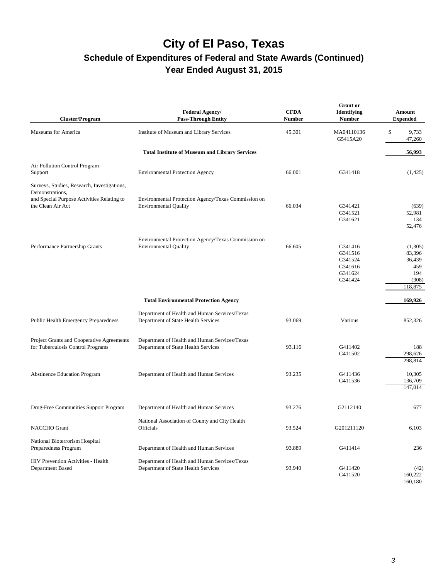| <b>Cluster/Program</b>                                                                                                            | <b>Federal Agency/</b><br><b>Pass-Through Entity</b>                                 | <b>CFDA</b><br><b>Number</b> | <b>Grant</b> or<br><b>Identifying</b><br><b>Number</b>         | Amount<br><b>Expended</b>                                     |  |
|-----------------------------------------------------------------------------------------------------------------------------------|--------------------------------------------------------------------------------------|------------------------------|----------------------------------------------------------------|---------------------------------------------------------------|--|
| Museums for America                                                                                                               | Institute of Museum and Library Services                                             | 45.301                       | MA04110136<br>G5415A20                                         | \$<br>9,733<br>47,260                                         |  |
|                                                                                                                                   | <b>Total Institute of Museum and Library Services</b>                                |                              |                                                                | 56,993                                                        |  |
| Air Pollution Control Program<br>Support                                                                                          | <b>Environmental Protection Agency</b>                                               | 66.001                       | G341418                                                        | (1,425)                                                       |  |
| Surveys, Studies, Research, Investigations,<br>Demonstrations,<br>and Special Purpose Activities Relating to<br>the Clean Air Act | Environmental Protection Agency/Texas Commission on<br><b>Environmental Quality</b>  | 66.034                       | G341421<br>G341521<br>G341621                                  | (639)<br>52,981<br>134<br>52,476                              |  |
| Performance Partnership Grants                                                                                                    | Environmental Protection Agency/Texas Commission on<br><b>Environmental Quality</b>  | 66.605                       | G341416<br>G341516<br>G341524<br>G341616<br>G341624<br>G341424 | (1,305)<br>83,396<br>36,439<br>459<br>194<br>(308)<br>118,875 |  |
|                                                                                                                                   | <b>Total Environmental Protection Agency</b>                                         |                              |                                                                | 169,926                                                       |  |
| Public Health Emergency Preparedness                                                                                              | Department of Health and Human Services/Texas<br>Department of State Health Services | 93.069                       | Various                                                        | 852,326                                                       |  |
| Project Grants and Cooperative Agreements<br>for Tuberculosis Control Programs                                                    | Department of Health and Human Services/Texas<br>Department of State Health Services | 93.116                       | G411402<br>G411502                                             | 188<br>298,626<br>298.814                                     |  |
| <b>Abstinence Education Program</b>                                                                                               | Department of Health and Human Services                                              | 93.235                       | G411436<br>G411536                                             | 10,305<br>136,709<br>147,014                                  |  |
| Drug-Free Communities Support Program                                                                                             | Department of Health and Human Services                                              | 93.276                       | G2112140                                                       | 677                                                           |  |
| NACCHO Grant                                                                                                                      | National Association of County and City Health<br>Officials                          | 93.524                       | G201211120                                                     | 6,103                                                         |  |
| National Bioterrorism Hospital<br>Preparedness Program                                                                            | Department of Health and Human Services                                              | 93.889                       | G411414                                                        | 236                                                           |  |
| HIV Prevention Activities - Health<br>Department Based                                                                            | Department of Health and Human Services/Texas<br>Department of State Health Services | 93.940                       | G411420<br>G411520                                             | (42)<br>160,222<br>160,180                                    |  |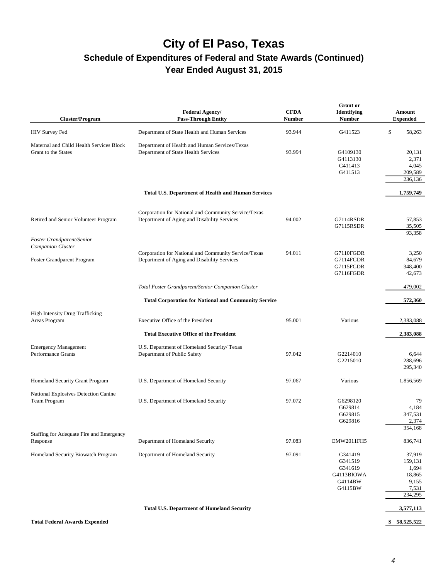| <b>Cluster/Program</b>                                          | <b>Federal Agency/</b><br><b>Pass-Through Entity</b>                                                | <b>CFDA</b><br>Number | <b>Grant</b> or<br><b>Identifying</b><br><b>Number</b>            | <b>Amount</b><br><b>Expended</b>                                  |  |
|-----------------------------------------------------------------|-----------------------------------------------------------------------------------------------------|-----------------------|-------------------------------------------------------------------|-------------------------------------------------------------------|--|
| <b>HIV Survey Fed</b>                                           | Department of State Health and Human Services                                                       | 93.944                | G411523                                                           | \$<br>58,263                                                      |  |
| Maternal and Child Health Services Block<br>Grant to the States | Department of Health and Human Services/Texas<br>Department of State Health Services                | 93.994                | G4109130<br>G4113130<br>G411413<br>G411513                        | 20,131<br>2,371<br>4,045<br>209,589<br>236,136                    |  |
|                                                                 | <b>Total U.S. Department of Health and Human Services</b>                                           |                       |                                                                   | 1,759,749                                                         |  |
| Retired and Senior Volunteer Program                            | Corporation for National and Community Service/Texas<br>Department of Aging and Disability Services | 94.002                | G7114RSDR<br>G7115RSDR                                            | 57,853<br>35,505                                                  |  |
| Foster Grandparent/Senior<br><b>Companion Cluster</b>           |                                                                                                     |                       |                                                                   | 93,358                                                            |  |
| Foster Grandparent Program                                      | Corporation for National and Community Service/Texas<br>Department of Aging and Disability Services | 94.011                | G7110FGDR<br>G7114FGDR<br>G7115FGDR<br>G7116FGDR                  | 3,250<br>84,679<br>348,400<br>42,673                              |  |
|                                                                 | Total Foster Grandparent/Senior Companion Cluster                                                   |                       |                                                                   | 479,002                                                           |  |
|                                                                 | <b>Total Corporation for National and Community Service</b>                                         |                       |                                                                   | 572,360                                                           |  |
| <b>High Intensity Drug Trafficking</b><br>Areas Program         | Executive Office of the President                                                                   | 95.001                | Various                                                           | 2,383,088                                                         |  |
|                                                                 | <b>Total Executive Office of the President</b>                                                      |                       |                                                                   | 2,383,088                                                         |  |
| <b>Emergency Management</b><br><b>Performance Grants</b>        | U.S. Department of Homeland Security/ Texas<br>Department of Public Safety                          | 97.042                | G2214010<br>G2215010                                              | 6,644<br>288,696<br>295,340                                       |  |
| Homeland Security Grant Program                                 | U.S. Department of Homeland Security                                                                | 97.067                | Various                                                           | 1,856,569                                                         |  |
| National Explosives Detection Canine<br>Team Program            | U.S. Department of Homeland Security                                                                | 97.072                | G6298120<br>G629814<br>G629815<br>G629816                         | 79<br>4,184<br>347,531<br>2,374                                   |  |
| Staffing for Adequate Fire and Emergency<br>Response            | Department of Homeland Security                                                                     | 97.083                | <b>EMW2011FH5</b>                                                 | 354,168<br>836,741                                                |  |
|                                                                 |                                                                                                     |                       |                                                                   |                                                                   |  |
| Homeland Security Biowatch Program                              | Department of Homeland Security                                                                     | 97.091                | G341419<br>G341519<br>G341619<br>G4113BIOWA<br>G4114BW<br>G4115BW | 37,919<br>159,131<br>1,694<br>18,865<br>9,155<br>7,531<br>234,295 |  |
|                                                                 | <b>Total U.S. Department of Homeland Security</b>                                                   |                       |                                                                   | 3,577,113                                                         |  |
| <b>Total Federal Awards Expended</b>                            |                                                                                                     |                       |                                                                   | \$58,525,522                                                      |  |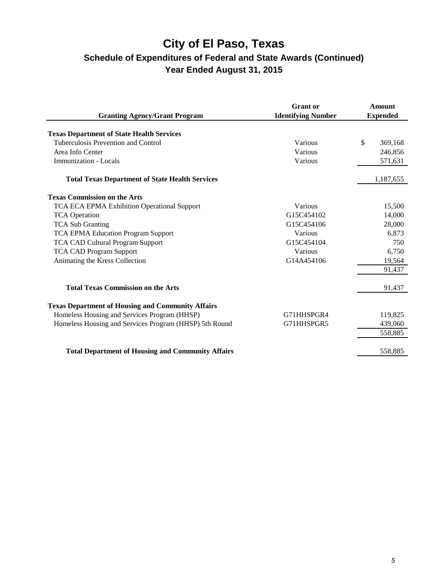| <b>Granting Agency/Grant Program</b>                     | <b>Grant</b> or<br><b>Identifying Number</b> | <b>Amount</b><br><b>Expended</b> |
|----------------------------------------------------------|----------------------------------------------|----------------------------------|
| <b>Texas Department of State Health Services</b>         |                                              |                                  |
| Tuberculosis Prevention and Control                      | Various                                      | \$<br>369,168                    |
| Area Info Center                                         | Various                                      | 246,856                          |
| <b>Immunization - Locals</b>                             | Various                                      | 571,631                          |
| <b>Total Texas Department of State Health Services</b>   |                                              | 1,187,655                        |
| <b>Texas Commission on the Arts</b>                      |                                              |                                  |
| TCA ECA EPMA Exhibition Operational Support              | Various                                      | 15,500                           |
| <b>TCA</b> Operation                                     | G15C454102                                   | 14,000                           |
| <b>TCA Sub Granting</b>                                  | G15C454106                                   | 28,000                           |
| <b>TCA EPMA Education Program Support</b>                | Various                                      | 6,873                            |
| <b>TCA CAD Cultural Program Support</b>                  | G15C454104                                   | 750                              |
| <b>TCA CAD Program Support</b>                           | Various                                      | 6,750                            |
| Animating the Kress Collection                           | G14A454106                                   | 19,564                           |
|                                                          |                                              | 91,437                           |
| <b>Total Texas Commission on the Arts</b>                |                                              | 91,437                           |
| <b>Texas Department of Housing and Community Affairs</b> |                                              |                                  |
| Homeless Housing and Services Program (HHSP)             | G71HHSPGR4                                   | 119,825                          |
| Homeless Housing and Services Program (HHSP) 5th Round   | G71HHSPGR5                                   | 439,060                          |
|                                                          |                                              | 558,885                          |
| <b>Total Department of Housing and Community Affairs</b> |                                              | 558,885                          |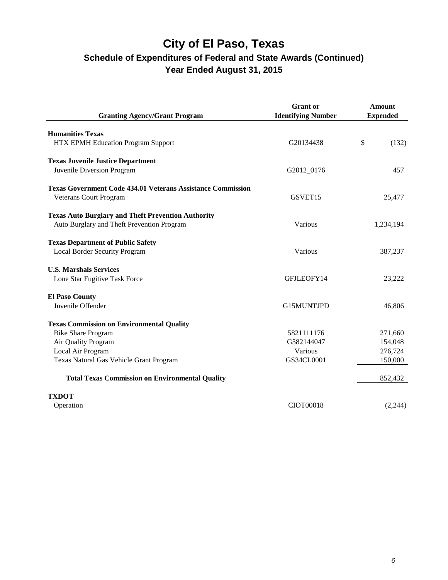|                                                                    | <b>Grant</b> or           | <b>Amount</b>   |
|--------------------------------------------------------------------|---------------------------|-----------------|
| <b>Granting Agency/Grant Program</b>                               | <b>Identifying Number</b> | <b>Expended</b> |
| <b>Humanities Texas</b>                                            |                           |                 |
| HTX EPMH Education Program Support                                 | G20134438                 | \$<br>(132)     |
| <b>Texas Juvenile Justice Department</b>                           |                           |                 |
| Juvenile Diversion Program                                         | G2012_0176                | 457             |
| <b>Texas Government Code 434.01 Veterans Assistance Commission</b> |                           |                 |
| Veterans Court Program                                             | GSVET15                   | 25,477          |
| <b>Texas Auto Burglary and Theft Prevention Authority</b>          |                           |                 |
| Auto Burglary and Theft Prevention Program                         | Various                   | 1,234,194       |
| <b>Texas Department of Public Safety</b>                           |                           |                 |
| Local Border Security Program                                      | Various                   | 387,237         |
| <b>U.S. Marshals Services</b>                                      |                           |                 |
| Lone Star Fugitive Task Force                                      | GFJLEOFY14                | 23,222          |
| <b>El Paso County</b>                                              |                           |                 |
| Juvenile Offender                                                  | G15MUNTJPD                | 46,806          |
| <b>Texas Commission on Environmental Quality</b>                   |                           |                 |
| <b>Bike Share Program</b>                                          | 5821111176                | 271,660         |
| Air Quality Program                                                | G582144047                | 154,048         |
| Local Air Program                                                  | Various                   | 276,724         |
| Texas Natural Gas Vehicle Grant Program                            | GS34CL0001                | 150,000         |
| <b>Total Texas Commission on Environmental Quality</b>             |                           | 852,432         |
| <b>TXDOT</b>                                                       |                           |                 |
| Operation                                                          | CIOT00018                 | (2,244)         |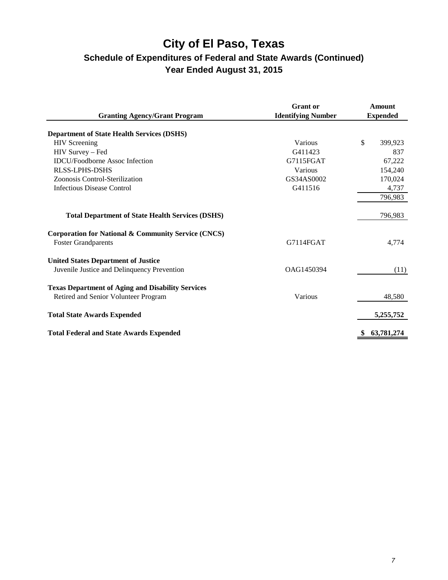| <b>Granting Agency/Grant Program</b>                           | <b>Grant</b> or<br><b>Identifying Number</b> | <b>Amount</b><br><b>Expended</b> |
|----------------------------------------------------------------|----------------------------------------------|----------------------------------|
| <b>Department of State Health Services (DSHS)</b>              |                                              |                                  |
| <b>HIV</b> Screening                                           | Various                                      | \$<br>399,923                    |
| HIV Survey - Fed                                               | G411423                                      | 837                              |
| <b>IDCU/Foodborne Assoc Infection</b>                          | G7115FGAT                                    | 67,222                           |
| <b>RLSS-LPHS-DSHS</b>                                          | Various                                      | 154,240                          |
| Zoonosis Control-Sterilization                                 | GS34AS0002                                   | 170,024                          |
| Infectious Disease Control                                     | G411516                                      | 4,737                            |
|                                                                |                                              | 796,983                          |
| <b>Total Department of State Health Services (DSHS)</b>        |                                              | 796,983                          |
| <b>Corporation for National &amp; Community Service (CNCS)</b> |                                              |                                  |
| <b>Foster Grandparents</b>                                     | G7114FGAT                                    | 4,774                            |
| <b>United States Department of Justice</b>                     |                                              |                                  |
| Juvenile Justice and Delinquency Prevention                    | OAG1450394                                   | (11)                             |
| <b>Texas Department of Aging and Disability Services</b>       |                                              |                                  |
| Retired and Senior Volunteer Program                           | Various                                      | 48,580                           |
| <b>Total State Awards Expended</b>                             |                                              | 5,255,752                        |
| <b>Total Federal and State Awards Expended</b>                 |                                              | 63,781,274                       |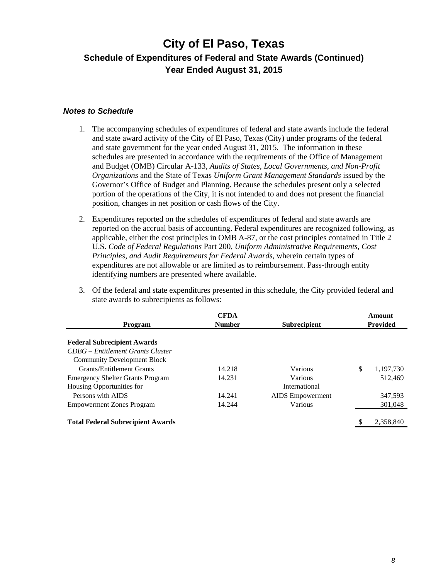#### *Notes to Schedule*

- 1. The accompanying schedules of expenditures of federal and state awards include the federal and state award activity of the City of El Paso, Texas (City) under programs of the federal and state government for the year ended August 31, 2015. The information in these schedules are presented in accordance with the requirements of the Office of Management and Budget (OMB) Circular A-133, *Audits of States, Local Governments, and Non-Profit Organizations* and the State of Texas *Uniform Grant Management Standards* issued by the Governor's Office of Budget and Planning. Because the schedules present only a selected portion of the operations of the City, it is not intended to and does not present the financial position, changes in net position or cash flows of the City.
- 2. Expenditures reported on the schedules of expenditures of federal and state awards are reported on the accrual basis of accounting. Federal expenditures are recognized following, as applicable, either the cost principles in OMB A-87, or the cost principles contained in Title 2 U.S. *Code of Federal Regulations* Part 200, *Uniform Administrative Requirements, Cost Principles, and Audit Requirements for Federal Awards*, wherein certain types of expenditures are not allowable or are limited as to reimbursement. Pass-through entity identifying numbers are presented where available.

| Program                                  | <b>CFDA</b><br><b>Number</b> | <b>Subrecipient</b>     | Amount<br><b>Provided</b> |
|------------------------------------------|------------------------------|-------------------------|---------------------------|
| <b>Federal Subrecipient Awards</b>       |                              |                         |                           |
| CDBG – Entitlement Grants Cluster        |                              |                         |                           |
| <b>Community Development Block</b>       |                              |                         |                           |
| <b>Grants/Entitlement Grants</b>         | 14.218                       | Various                 | \$<br>1,197,730           |
| <b>Emergency Shelter Grants Program</b>  | 14.231                       | <b>Various</b>          | 512.469                   |
| Housing Opportunities for                |                              | International           |                           |
| Persons with AIDS                        | 14.241                       | <b>AIDS</b> Empowerment | 347,593                   |
| <b>Empowerment Zones Program</b>         | 14.244                       | Various                 | 301,048                   |
| <b>Total Federal Subrecipient Awards</b> |                              |                         | 2,358,840                 |

3. Of the federal and state expenditures presented in this schedule, the City provided federal and state awards to subrecipients as follows: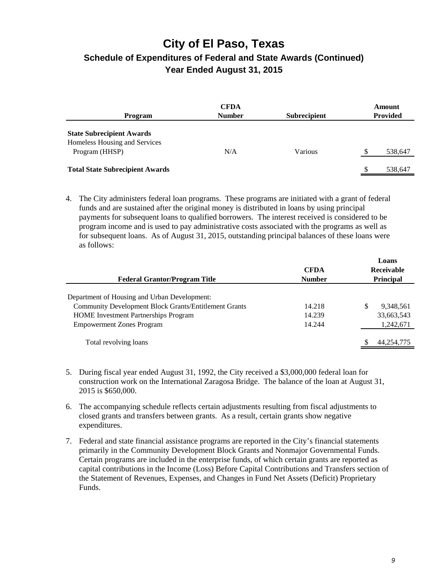| Program                                                                             | <b>CFDA</b><br><b>Number</b> | <b>Subrecipient</b> | Amount<br><b>Provided</b> |
|-------------------------------------------------------------------------------------|------------------------------|---------------------|---------------------------|
| <b>State Subrecipient Awards</b><br>Homeless Housing and Services<br>Program (HHSP) | N/A                          | Various             | 538,647                   |
| <b>Total State Subrecipient Awards</b>                                              |                              |                     | \$<br>538,647             |

4. The City administers federal loan programs. These programs are initiated with a grant of federal funds and are sustained after the original money is distributed in loans by using principal payments for subsequent loans to qualified borrowers. The interest received is considered to be program income and is used to pay administrative costs associated with the programs as well as for subsequent loans. As of August 31, 2015, outstanding principal balances of these loans were as follows:

| <b>Federal Grantor/Program Title</b>                         | <b>CFDA</b><br><b>Number</b> | Loans<br>Receivable<br><b>Principal</b> |
|--------------------------------------------------------------|------------------------------|-----------------------------------------|
|                                                              |                              |                                         |
| Department of Housing and Urban Development:                 |                              |                                         |
| <b>Community Development Block Grants/Entitlement Grants</b> | 14.218                       | \$<br>9,348,561                         |
| <b>HOME</b> Investment Partnerships Program                  | 14.239                       | 33,663,543                              |
| <b>Empowerment Zones Program</b>                             | 14.244                       | 1,242,671                               |
|                                                              |                              |                                         |
| Total revolving loans                                        |                              | S<br>44,254,775                         |

- 5. During fiscal year ended August 31, 1992, the City received a \$3,000,000 federal loan for construction work on the International Zaragosa Bridge. The balance of the loan at August 31, 2015 is \$650,000.
- 6. The accompanying schedule reflects certain adjustments resulting from fiscal adjustments to closed grants and transfers between grants. As a result, certain grants show negative expenditures.
- 7. Federal and state financial assistance programs are reported in the City's financial statements primarily in the Community Development Block Grants and Nonmajor Governmental Funds. Certain programs are included in the enterprise funds, of which certain grants are reported as capital contributions in the Income (Loss) Before Capital Contributions and Transfers section of the Statement of Revenues, Expenses, and Changes in Fund Net Assets (Deficit) Proprietary Funds.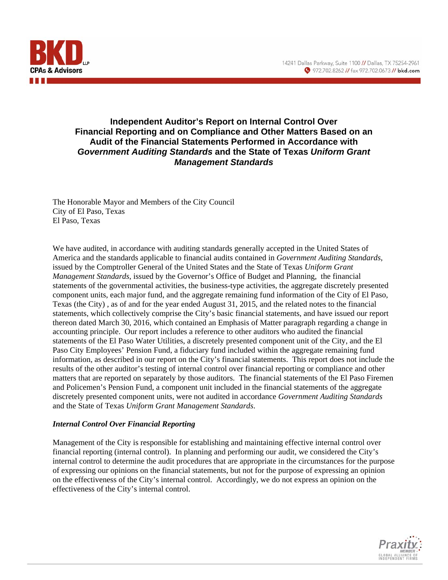

### **Independent Auditor's Report on Internal Control Over Financial Reporting and on Compliance and Other Matters Based on an Audit of the Financial Statements Performed in Accordance with**  *Government Auditing Standards* **and the State of Texas** *Uniform Grant Management Standards*

The Honorable Mayor and Members of the City Council City of El Paso, Texas El Paso, Texas

We have audited, in accordance with auditing standards generally accepted in the United States of America and the standards applicable to financial audits contained in *Government Auditing Standards*, issued by the Comptroller General of the United States and the State of Texas *Uniform Grant Management Standards*, issued by the Governor's Office of Budget and Planning, the financial statements of the governmental activities, the business-type activities, the aggregate discretely presented component units, each major fund, and the aggregate remaining fund information of the City of El Paso, Texas (the City) , as of and for the year ended August 31, 2015, and the related notes to the financial statements, which collectively comprise the City's basic financial statements, and have issued our report thereon dated March 30, 2016, which contained an Emphasis of Matter paragraph regarding a change in accounting principle. Our report includes a reference to other auditors who audited the financial statements of the El Paso Water Utilities, a discretely presented component unit of the City, and the El Paso City Employees' Pension Fund, a fiduciary fund included within the aggregate remaining fund information, as described in our report on the City's financial statements. This report does not include the results of the other auditor's testing of internal control over financial reporting or compliance and other matters that are reported on separately by those auditors. The financial statements of the El Paso Firemen and Policemen's Pension Fund, a component unit included in the financial statements of the aggregate discretely presented component units, were not audited in accordance *Government Auditing Standards* and the State of Texas *Uniform Grant Management Standards*.

#### *Internal Control Over Financial Reporting*

Management of the City is responsible for establishing and maintaining effective internal control over financial reporting (internal control). In planning and performing our audit, we considered the City's internal control to determine the audit procedures that are appropriate in the circumstances for the purpose of expressing our opinions on the financial statements, but not for the purpose of expressing an opinion on the effectiveness of the City's internal control. Accordingly, we do not express an opinion on the effectiveness of the City's internal control.

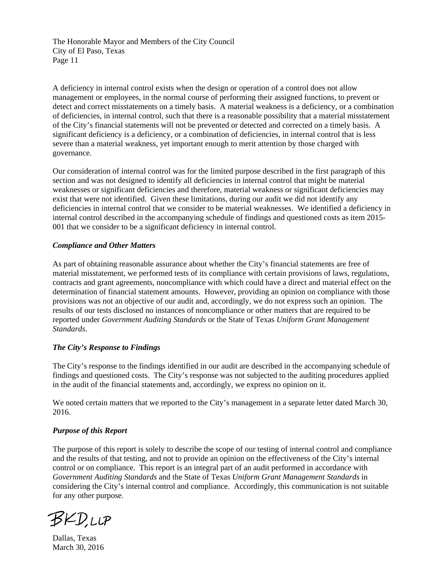A deficiency in internal control exists when the design or operation of a control does not allow management or employees, in the normal course of performing their assigned functions, to prevent or detect and correct misstatements on a timely basis. A material weakness is a deficiency, or a combination of deficiencies, in internal control, such that there is a reasonable possibility that a material misstatement of the City's financial statements will not be prevented or detected and corrected on a timely basis. A significant deficiency is a deficiency, or a combination of deficiencies, in internal control that is less severe than a material weakness, yet important enough to merit attention by those charged with governance.

Our consideration of internal control was for the limited purpose described in the first paragraph of this section and was not designed to identify all deficiencies in internal control that might be material weaknesses or significant deficiencies and therefore, material weakness or significant deficiencies may exist that were not identified. Given these limitations, during our audit we did not identify any deficiencies in internal control that we consider to be material weaknesses. We identified a deficiency in internal control described in the accompanying schedule of findings and questioned costs as item 2015- 001 that we consider to be a significant deficiency in internal control.

#### *Compliance and Other Matters*

As part of obtaining reasonable assurance about whether the City's financial statements are free of material misstatement, we performed tests of its compliance with certain provisions of laws, regulations, contracts and grant agreements, noncompliance with which could have a direct and material effect on the determination of financial statement amounts. However, providing an opinion on compliance with those provisions was not an objective of our audit and, accordingly, we do not express such an opinion. The results of our tests disclosed no instances of noncompliance or other matters that are required to be reported under *Government Auditing Standards* or the State of Texas *Uniform Grant Management Standards*.

#### *The City's Response to Findings*

The City's response to the findings identified in our audit are described in the accompanying schedule of findings and questioned costs. The City's response was not subjected to the auditing procedures applied in the audit of the financial statements and, accordingly, we express no opinion on it.

We noted certain matters that we reported to the City's management in a separate letter dated March 30, 2016.

#### *Purpose of this Report*

The purpose of this report is solely to describe the scope of our testing of internal control and compliance and the results of that testing, and not to provide an opinion on the effectiveness of the City's internal control or on compliance. This report is an integral part of an audit performed in accordance with *Government Auditing Standards* and the State of Texas *Uniform Grant Management Standards* in considering the City's internal control and compliance. Accordingly, this communication is not suitable for any other purpose.

BKDUP

Dallas, Texas March 30, 2016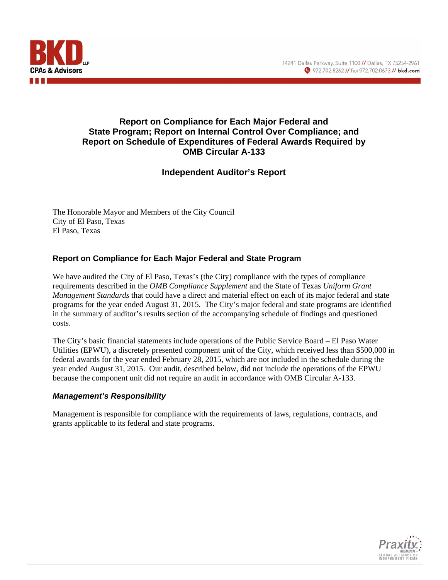

### **Report on Compliance for Each Major Federal and State Program; Report on Internal Control Over Compliance; and Report on Schedule of Expenditures of Federal Awards Required by OMB Circular A-133**

### **Independent Auditor's Report**

The Honorable Mayor and Members of the City Council City of El Paso, Texas El Paso, Texas

### **Report on Compliance for Each Major Federal and State Program**

We have audited the City of El Paso, Texas's (the City) compliance with the types of compliance requirements described in the *OMB Compliance Supplement* and the State of Texas *Uniform Grant Management Standards* that could have a direct and material effect on each of its major federal and state programs for the year ended August 31, 2015. The City's major federal and state programs are identified in the summary of auditor's results section of the accompanying schedule of findings and questioned costs.

The City's basic financial statements include operations of the Public Service Board – El Paso Water Utilities (EPWU), a discretely presented component unit of the City, which received less than \$500,000 in federal awards for the year ended February 28, 2015, which are not included in the schedule during the year ended August 31, 2015. Our audit, described below, did not include the operations of the EPWU because the component unit did not require an audit in accordance with OMB Circular A-133.

#### *Management's Responsibility*

Management is responsible for compliance with the requirements of laws, regulations, contracts, and grants applicable to its federal and state programs.

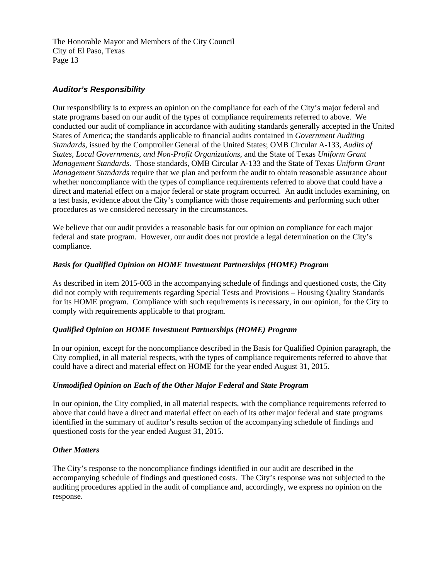### *Auditor's Responsibility*

Our responsibility is to express an opinion on the compliance for each of the City's major federal and state programs based on our audit of the types of compliance requirements referred to above. We conducted our audit of compliance in accordance with auditing standards generally accepted in the United States of America; the standards applicable to financial audits contained in *Government Auditing Standards*, issued by the Comptroller General of the United States; OMB Circular A-133, *Audits of States, Local Governments, and Non-Profit Organizations*, and the State of Texas *Uniform Grant Management Standards*. Those standards, OMB Circular A-133 and the State of Texas *Uniform Grant Management Standards* require that we plan and perform the audit to obtain reasonable assurance about whether noncompliance with the types of compliance requirements referred to above that could have a direct and material effect on a major federal or state program occurred. An audit includes examining, on a test basis, evidence about the City's compliance with those requirements and performing such other procedures as we considered necessary in the circumstances.

We believe that our audit provides a reasonable basis for our opinion on compliance for each major federal and state program. However, our audit does not provide a legal determination on the City's compliance.

#### *Basis for Qualified Opinion on HOME Investment Partnerships (HOME) Program*

As described in item 2015-003 in the accompanying schedule of findings and questioned costs, the City did not comply with requirements regarding Special Tests and Provisions – Housing Quality Standards for its HOME program. Compliance with such requirements is necessary, in our opinion, for the City to comply with requirements applicable to that program.

#### *Qualified Opinion on HOME Investment Partnerships (HOME) Program*

In our opinion, except for the noncompliance described in the Basis for Qualified Opinion paragraph, the City complied, in all material respects, with the types of compliance requirements referred to above that could have a direct and material effect on HOME for the year ended August 31, 2015.

#### *Unmodified Opinion on Each of the Other Major Federal and State Program*

In our opinion, the City complied, in all material respects, with the compliance requirements referred to above that could have a direct and material effect on each of its other major federal and state programs identified in the summary of auditor's results section of the accompanying schedule of findings and questioned costs for the year ended August 31, 2015.

#### *Other Matters*

The City's response to the noncompliance findings identified in our audit are described in the accompanying schedule of findings and questioned costs. The City's response was not subjected to the auditing procedures applied in the audit of compliance and, accordingly, we express no opinion on the response.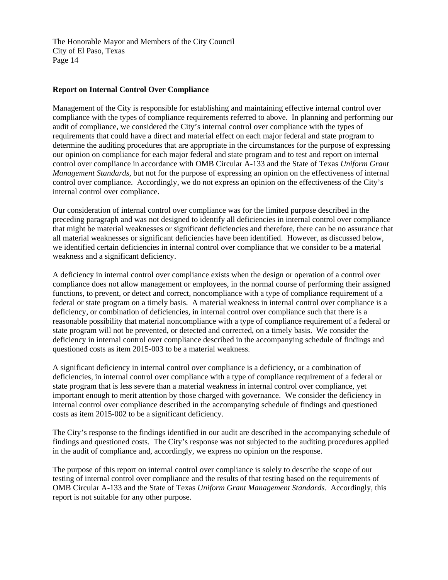#### **Report on Internal Control Over Compliance**

Management of the City is responsible for establishing and maintaining effective internal control over compliance with the types of compliance requirements referred to above. In planning and performing our audit of compliance, we considered the City's internal control over compliance with the types of requirements that could have a direct and material effect on each major federal and state program to determine the auditing procedures that are appropriate in the circumstances for the purpose of expressing our opinion on compliance for each major federal and state program and to test and report on internal control over compliance in accordance with OMB Circular A-133 and the State of Texas *Uniform Grant Management Standards*, but not for the purpose of expressing an opinion on the effectiveness of internal control over compliance. Accordingly, we do not express an opinion on the effectiveness of the City's internal control over compliance.

Our consideration of internal control over compliance was for the limited purpose described in the preceding paragraph and was not designed to identify all deficiencies in internal control over compliance that might be material weaknesses or significant deficiencies and therefore, there can be no assurance that all material weaknesses or significant deficiencies have been identified. However, as discussed below, we identified certain deficiencies in internal control over compliance that we consider to be a material weakness and a significant deficiency.

A deficiency in internal control over compliance exists when the design or operation of a control over compliance does not allow management or employees, in the normal course of performing their assigned functions, to prevent, or detect and correct, noncompliance with a type of compliance requirement of a federal or state program on a timely basis. A material weakness in internal control over compliance is a deficiency, or combination of deficiencies, in internal control over compliance such that there is a reasonable possibility that material noncompliance with a type of compliance requirement of a federal or state program will not be prevented, or detected and corrected, on a timely basis. We consider the deficiency in internal control over compliance described in the accompanying schedule of findings and questioned costs as item 2015-003 to be a material weakness.

A significant deficiency in internal control over compliance is a deficiency, or a combination of deficiencies, in internal control over compliance with a type of compliance requirement of a federal or state program that is less severe than a material weakness in internal control over compliance, yet important enough to merit attention by those charged with governance. We consider the deficiency in internal control over compliance described in the accompanying schedule of findings and questioned costs as item 2015-002 to be a significant deficiency.

The City's response to the findings identified in our audit are described in the accompanying schedule of findings and questioned costs. The City's response was not subjected to the auditing procedures applied in the audit of compliance and, accordingly, we express no opinion on the response.

The purpose of this report on internal control over compliance is solely to describe the scope of our testing of internal control over compliance and the results of that testing based on the requirements of OMB Circular A-133 and the State of Texas *Uniform Grant Management Standards*. Accordingly, this report is not suitable for any other purpose.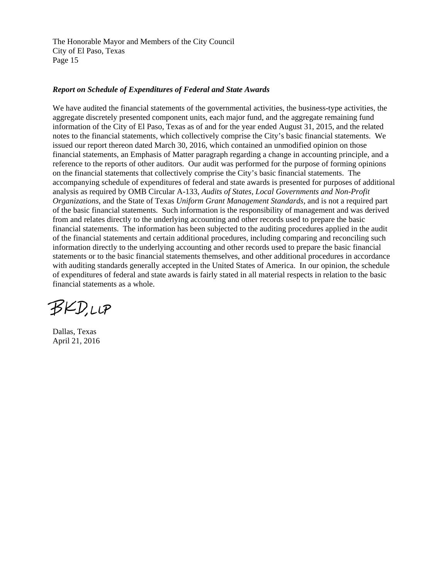#### *Report on Schedule of Expenditures of Federal and State Awards*

We have audited the financial statements of the governmental activities, the business-type activities, the aggregate discretely presented component units, each major fund, and the aggregate remaining fund information of the City of El Paso, Texas as of and for the year ended August 31, 2015, and the related notes to the financial statements, which collectively comprise the City's basic financial statements. We issued our report thereon dated March 30, 2016, which contained an unmodified opinion on those financial statements, an Emphasis of Matter paragraph regarding a change in accounting principle, and a reference to the reports of other auditors. Our audit was performed for the purpose of forming opinions on the financial statements that collectively comprise the City's basic financial statements. The accompanying schedule of expenditures of federal and state awards is presented for purposes of additional analysis as required by OMB Circular A-133, *Audits of States, Local Governments and Non-Profit Organizations*, and the State of Texas *Uniform Grant Management Standards,* and is not a required part of the basic financial statements. Such information is the responsibility of management and was derived from and relates directly to the underlying accounting and other records used to prepare the basic financial statements. The information has been subjected to the auditing procedures applied in the audit of the financial statements and certain additional procedures, including comparing and reconciling such information directly to the underlying accounting and other records used to prepare the basic financial statements or to the basic financial statements themselves, and other additional procedures in accordance with auditing standards generally accepted in the United States of America. In our opinion, the schedule of expenditures of federal and state awards is fairly stated in all material respects in relation to the basic financial statements as a whole.

BKD,LLP

Dallas, Texas April 21, 2016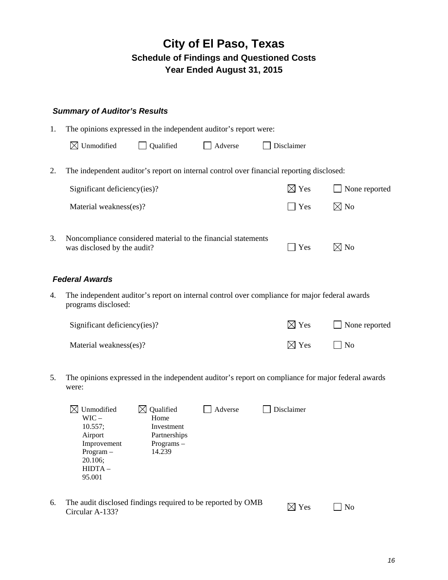### *Summary of Auditor's Results*

| 1. | The opinions expressed in the independent auditor's report were:                                                     |           |         |                                                                                          |                |  |
|----|----------------------------------------------------------------------------------------------------------------------|-----------|---------|------------------------------------------------------------------------------------------|----------------|--|
|    | $\boxtimes$ Unmodified                                                                                               | Qualified | Adverse | Disclaimer                                                                               |                |  |
| 2. |                                                                                                                      |           |         | The independent auditor's report on internal control over financial reporting disclosed: |                |  |
|    | Significant deficiency(ies)?                                                                                         |           |         | $\boxtimes$ Yes                                                                          | None reported  |  |
|    | Material weakness(es)?                                                                                               |           |         | Yes                                                                                      | $\boxtimes$ No |  |
| 3. | Noncompliance considered material to the financial statements<br>was disclosed by the audit?                         |           |         | Yes                                                                                      | $\boxtimes$ No |  |
|    | <b>Federal Awards</b>                                                                                                |           |         |                                                                                          |                |  |
| 4. | The independent auditor's report on internal control over compliance for major federal awards<br>programs disclosed: |           |         |                                                                                          |                |  |
|    | Significant deficiency(ies)?                                                                                         |           |         | $\boxtimes$ Yes                                                                          | None reported  |  |
|    | Material weakness(es)?                                                                                               |           |         | $\boxtimes$ Yes                                                                          | N <sub>0</sub> |  |
|    |                                                                                                                      |           |         |                                                                                          |                |  |

5. The opinions expressed in the independent auditor's report on compliance for major federal awards were:

| Unmodified  | Qualified    | Adverse | Disclaimer |  |
|-------------|--------------|---------|------------|--|
| $WIC -$     | Home         |         |            |  |
| 10.557;     | Investment   |         |            |  |
| Airport     | Partnerships |         |            |  |
| Improvement | $Programs -$ |         |            |  |
| $Program -$ | 14.239       |         |            |  |
| 20.106;     |              |         |            |  |
| $HIDTA -$   |              |         |            |  |
| 95.001      |              |         |            |  |
|             |              |         |            |  |
|             |              |         |            |  |

6. The audit disclosed findings required to be reported by OMB  $\Box$  Yes  $\Box$  No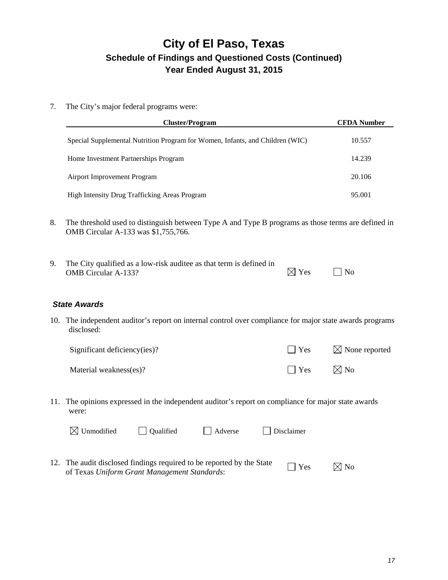7. The City's major federal programs were:

| <b>Cluster/Program</b>                                                        | <b>CFDA Number</b> |
|-------------------------------------------------------------------------------|--------------------|
| Special Supplemental Nutrition Program for Women, Infants, and Children (WIC) | 10.557             |
| Home Investment Partnerships Program                                          | 14.239             |
| Airport Improvement Program                                                   | 20.106             |
| High Intensity Drug Trafficking Areas Program                                 | 95.001             |

8. The threshold used to distinguish between Type A and Type B programs as those terms are defined in OMB Circular A-133 was \$1,755,766.

| The City qualified as a low-risk auditee as that term is defined in |                 |           |
|---------------------------------------------------------------------|-----------------|-----------|
| <b>OMB</b> Circular A-133?                                          | $\boxtimes$ Yes | $\Box$ No |

#### *State Awards*

10. The independent auditor's report on internal control over compliance for major state awards programs disclosed:

| Significant deficiency(ies)? | $\vert$   Yes | $\boxtimes$ None reported |
|------------------------------|---------------|---------------------------|
| Material weakness(es)?       | $\Box$ Yes    | $\boxtimes$ No            |

11. The opinions expressed in the independent auditor's report on compliance for major state awards were:

|  | $\boxtimes$ Unmodified |  |
|--|------------------------|--|
|--|------------------------|--|

 $\overline{\phantom{0}}$ 

Qualified Adverse Disclaimer

12. The audit disclosed findings required to be reported by the State of Texas *Uniform Grant Management Standards*:  $\Box$  Yes  $\boxtimes$  No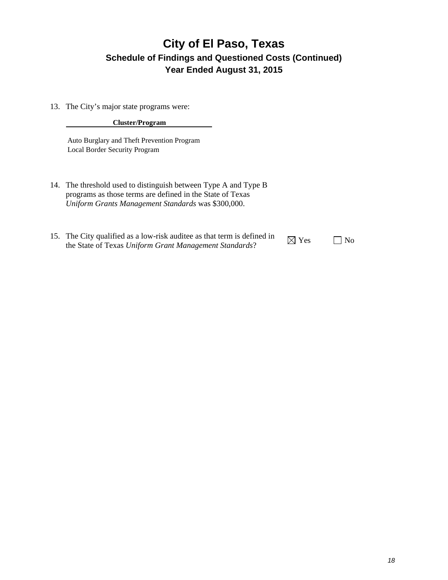13. The City's major state programs were:

**Cluster/Program**

Auto Burglary and Theft Prevention Program Local Border Security Program

- 14. The threshold used to distinguish between Type A and Type B programs as those terms are defined in the State of Texas *Uniform Grants Management Standards* was \$300,000.
- 15. The City qualified as a low-risk auditee as that term is defined in The City qualitied as a low-risk auditee as that term is defined in  $\boxtimes$  Yes  $\Box$  No the State of Texas *Uniform Grant Management Standards*?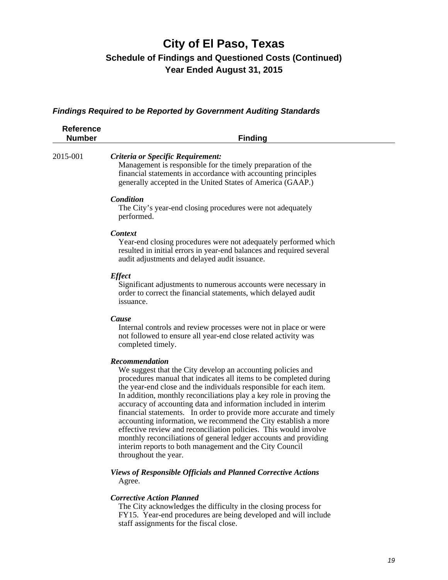#### *Findings Required to be Reported by Government Auditing Standards*

| <b>Reference</b><br><b>Number</b> | <b>Finding</b>                                                                                                                                                                                                                                                                                                                                                                                                                                                                                                                                                                                                                                                                                                                              |
|-----------------------------------|---------------------------------------------------------------------------------------------------------------------------------------------------------------------------------------------------------------------------------------------------------------------------------------------------------------------------------------------------------------------------------------------------------------------------------------------------------------------------------------------------------------------------------------------------------------------------------------------------------------------------------------------------------------------------------------------------------------------------------------------|
| 2015-001                          | Criteria or Specific Requirement:<br>Management is responsible for the timely preparation of the<br>financial statements in accordance with accounting principles<br>generally accepted in the United States of America (GAAP.)                                                                                                                                                                                                                                                                                                                                                                                                                                                                                                             |
|                                   | Condition<br>The City's year-end closing procedures were not adequately<br>performed.                                                                                                                                                                                                                                                                                                                                                                                                                                                                                                                                                                                                                                                       |
|                                   | Context<br>Year-end closing procedures were not adequately performed which<br>resulted in initial errors in year-end balances and required several<br>audit adjustments and delayed audit issuance.                                                                                                                                                                                                                                                                                                                                                                                                                                                                                                                                         |
|                                   | <b>Effect</b><br>Significant adjustments to numerous accounts were necessary in<br>order to correct the financial statements, which delayed audit<br>issuance.                                                                                                                                                                                                                                                                                                                                                                                                                                                                                                                                                                              |
|                                   | Cause<br>Internal controls and review processes were not in place or were<br>not followed to ensure all year-end close related activity was<br>completed timely.                                                                                                                                                                                                                                                                                                                                                                                                                                                                                                                                                                            |
|                                   | <b>Recommendation</b><br>We suggest that the City develop an accounting policies and<br>procedures manual that indicates all items to be completed during<br>the year-end close and the individuals responsible for each item.<br>In addition, monthly reconciliations play a key role in proving the<br>accuracy of accounting data and information included in interim<br>financial statements. In order to provide more accurate and timely<br>accounting information, we recommend the City establish a more<br>effective review and reconciliation policies. This would involve<br>monthly reconciliations of general ledger accounts and providing<br>interim reports to both management and the City Council<br>throughout the year. |
|                                   | <b>Views of Responsible Officials and Planned Corrective Actions</b><br>Agree.                                                                                                                                                                                                                                                                                                                                                                                                                                                                                                                                                                                                                                                              |

#### *Corrective Action Planned*

The City acknowledges the difficulty in the closing process for FY15. Year-end procedures are being developed and will include staff assignments for the fiscal close.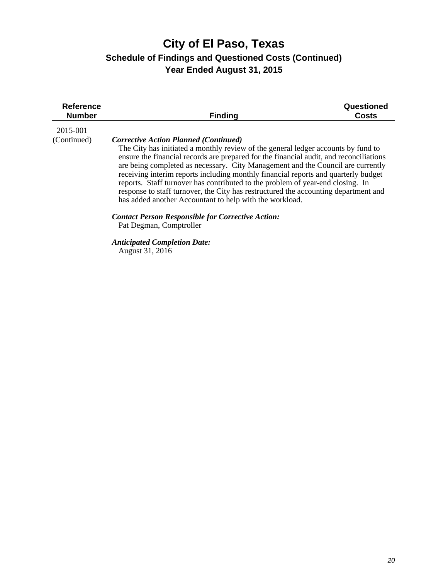| <b>Reference</b><br><b>Number</b> | <b>Finding</b>                                                                                                                                                                                                                                                                                                                                                                                                                                                                                                                                                                                                                           | Questioned<br><b>Costs</b> |
|-----------------------------------|------------------------------------------------------------------------------------------------------------------------------------------------------------------------------------------------------------------------------------------------------------------------------------------------------------------------------------------------------------------------------------------------------------------------------------------------------------------------------------------------------------------------------------------------------------------------------------------------------------------------------------------|----------------------------|
|                                   |                                                                                                                                                                                                                                                                                                                                                                                                                                                                                                                                                                                                                                          |                            |
| 2015-001                          |                                                                                                                                                                                                                                                                                                                                                                                                                                                                                                                                                                                                                                          |                            |
| (Continued)                       | <b>Corrective Action Planned (Continued)</b><br>The City has initiated a monthly review of the general ledger accounts by fund to<br>ensure the financial records are prepared for the financial audit, and reconciliations<br>are being completed as necessary. City Management and the Council are currently<br>receiving interim reports including monthly financial reports and quarterly budget<br>reports. Staff turnover has contributed to the problem of year-end closing. In<br>response to staff turnover, the City has restructured the accounting department and<br>has added another Accountant to help with the workload. |                            |
|                                   | <b>Contact Person Responsible for Corrective Action:</b><br>Pat Degman, Comptroller                                                                                                                                                                                                                                                                                                                                                                                                                                                                                                                                                      |                            |
|                                   | <b>Anticipated Completion Date:</b><br>August 31, 2016                                                                                                                                                                                                                                                                                                                                                                                                                                                                                                                                                                                   |                            |
|                                   |                                                                                                                                                                                                                                                                                                                                                                                                                                                                                                                                                                                                                                          |                            |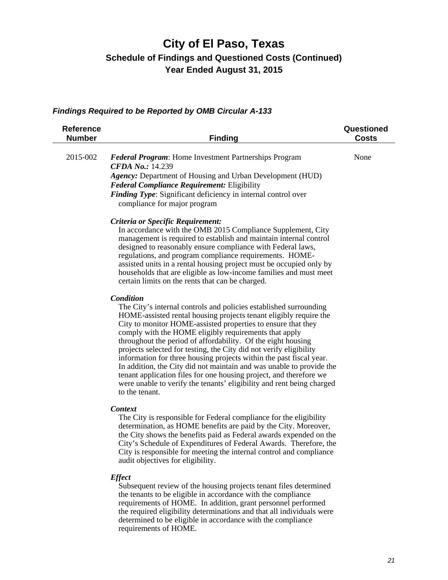### *Findings Required to be Reported by OMB Circular A-133*

| <b>Reference</b><br><b>Number</b> | <b>Finding</b>                                                                                                                                                                                                                                                                                                                                                                                                                                                                                                                                                                                                                                                                                                                     | Questioned<br><b>Costs</b> |
|-----------------------------------|------------------------------------------------------------------------------------------------------------------------------------------------------------------------------------------------------------------------------------------------------------------------------------------------------------------------------------------------------------------------------------------------------------------------------------------------------------------------------------------------------------------------------------------------------------------------------------------------------------------------------------------------------------------------------------------------------------------------------------|----------------------------|
| 2015-002                          | <b>Federal Program:</b> Home Investment Partnerships Program<br><b>CFDA No.: 14.239</b><br>Agency: Department of Housing and Urban Development (HUD)<br><b>Federal Compliance Requirement: Eligibility</b><br>Finding Type: Significant deficiency in internal control over<br>compliance for major program                                                                                                                                                                                                                                                                                                                                                                                                                        | None                       |
|                                   | Criteria or Specific Requirement:<br>In accordance with the OMB 2015 Compliance Supplement, City<br>management is required to establish and maintain internal control<br>designed to reasonably ensure compliance with Federal laws,<br>regulations, and program compliance requirements. HOME-<br>assisted units in a rental housing project must be occupied only by<br>households that are eligible as low-income families and must meet<br>certain limits on the rents that can be charged.                                                                                                                                                                                                                                    |                            |
|                                   | Condition<br>The City's internal controls and policies established surrounding<br>HOME-assisted rental housing projects tenant eligibly require the<br>City to monitor HOME-assisted properties to ensure that they<br>comply with the HOME eligibly requirements that apply<br>throughout the period of affordability. Of the eight housing<br>projects selected for testing, the City did not verify eligibility<br>information for three housing projects within the past fiscal year.<br>In addition, the City did not maintain and was unable to provide the<br>tenant application files for one housing project, and therefore we<br>were unable to verify the tenants' eligibility and rent being charged<br>to the tenant. |                            |
|                                   | <b>Context</b><br>The City is responsible for Federal compliance for the eligibility<br>determination, as HOME benefits are paid by the City. Moreover,<br>the City shows the benefits paid as Federal awards expended on the<br>City's Schedule of Expenditures of Federal Awards. Therefore, the<br>City is responsible for meeting the internal control and compliance<br>audit objectives for eligibility.                                                                                                                                                                                                                                                                                                                     |                            |
|                                   | <b>Effect</b><br>Subsequent review of the housing projects tenant files determined<br>the tenants to be eligible in accordance with the compliance<br>requirements of HOME. In addition, grant personnel performed<br>the required eligibility determinations and that all individuals were                                                                                                                                                                                                                                                                                                                                                                                                                                        |                            |

determined to be eligible in accordance with the compliance

requirements of HOME.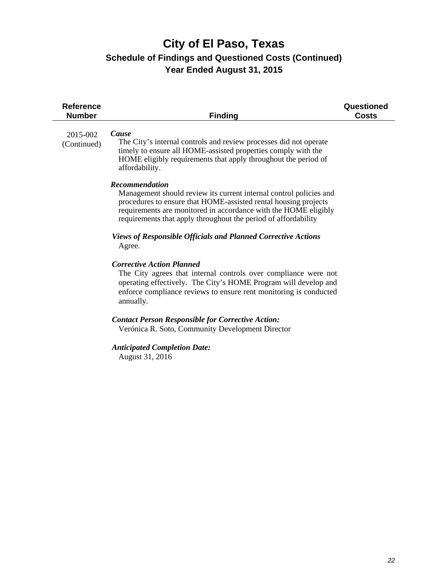| <b>Reference</b><br><b>Number</b> | <b>Finding</b>                                                                                                                                                                                                                                                                               | Questioned<br><b>Costs</b> |
|-----------------------------------|----------------------------------------------------------------------------------------------------------------------------------------------------------------------------------------------------------------------------------------------------------------------------------------------|----------------------------|
| 2015-002<br>(Continued)           | Cause<br>The City's internal controls and review processes did not operate<br>timely to ensure all HOME-assisted properties comply with the<br>HOME eligibly requirements that apply throughout the period of<br>affordability.                                                              |                            |
|                                   | Recommendation<br>Management should review its current internal control policies and<br>procedures to ensure that HOME-assisted rental housing projects<br>requirements are monitored in accordance with the HOME eligibly<br>requirements that apply throughout the period of affordability |                            |
|                                   | <b>Views of Responsible Officials and Planned Corrective Actions</b><br>Agree.                                                                                                                                                                                                               |                            |
|                                   | <b>Corrective Action Planned</b><br>The City agrees that internal controls over compliance were not<br>operating effectively. The City's HOME Program will develop and<br>enforce compliance reviews to ensure rent monitoring is conducted<br>annually.                                     |                            |
|                                   | <b>Contact Person Responsible for Corrective Action:</b><br>Verónica R. Soto, Community Development Director                                                                                                                                                                                 |                            |
|                                   | <b>Anticipated Completion Date:</b><br>August 31, 2016                                                                                                                                                                                                                                       |                            |
|                                   |                                                                                                                                                                                                                                                                                              |                            |
|                                   |                                                                                                                                                                                                                                                                                              |                            |
|                                   |                                                                                                                                                                                                                                                                                              |                            |
|                                   |                                                                                                                                                                                                                                                                                              |                            |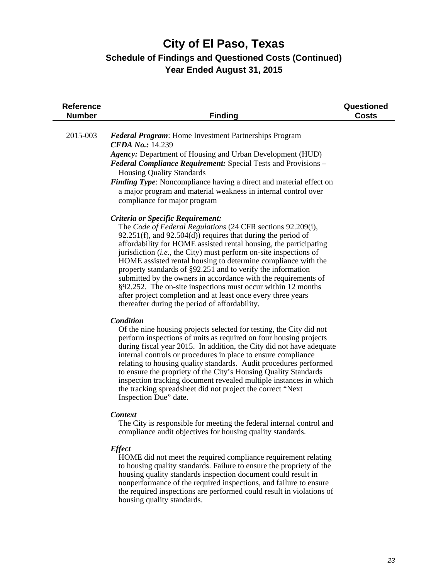| <b>Reference</b><br><b>Number</b> | <b>Finding</b>                                                                                                                                                                                                                                                                                                                                                                                                                                                                                                                                                                                                                                                                                          | Questioned<br><b>Costs</b> |
|-----------------------------------|---------------------------------------------------------------------------------------------------------------------------------------------------------------------------------------------------------------------------------------------------------------------------------------------------------------------------------------------------------------------------------------------------------------------------------------------------------------------------------------------------------------------------------------------------------------------------------------------------------------------------------------------------------------------------------------------------------|----------------------------|
| 2015-003                          | <b>Federal Program:</b> Home Investment Partnerships Program<br><b>CFDA No.: 14.239</b><br><b>Agency:</b> Department of Housing and Urban Development (HUD)<br><b>Federal Compliance Requirement:</b> Special Tests and Provisions –<br><b>Housing Quality Standards</b><br>Finding Type: Noncompliance having a direct and material effect on<br>a major program and material weakness in internal control over<br>compliance for major program                                                                                                                                                                                                                                                        |                            |
|                                   | Criteria or Specific Requirement:<br>The Code of Federal Regulations (24 CFR sections 92.209(i),<br>92.251(f), and 92.504(d)) requires that during the period of<br>affordability for HOME assisted rental housing, the participating<br>jurisdiction ( <i>i.e.</i> , the City) must perform on-site inspections of<br>HOME assisted rental housing to determine compliance with the<br>property standards of §92.251 and to verify the information<br>submitted by the owners in accordance with the requirements of<br>§92.252. The on-site inspections must occur within 12 months<br>after project completion and at least once every three years<br>thereafter during the period of affordability. |                            |
|                                   | Condition<br>Of the nine housing projects selected for testing, the City did not<br>perform inspections of units as required on four housing projects<br>during fiscal year 2015. In addition, the City did not have adequate<br>internal controls or procedures in place to ensure compliance<br>relating to housing quality standards. Audit procedures performed<br>to ensure the propriety of the City's Housing Quality Standards<br>inspection tracking document revealed multiple instances in which<br>the tracking spreadsheet did not project the correct "Next"<br>Inspection Due" date.                                                                                                     |                            |
|                                   | <b>Context</b><br>The City is responsible for meeting the federal internal control and<br>compliance audit objectives for housing quality standards.                                                                                                                                                                                                                                                                                                                                                                                                                                                                                                                                                    |                            |
|                                   | <b>Effect</b><br>HOME did not meet the required compliance requirement relating<br>to housing quality standards. Failure to ensure the propriety of the<br>housing quality standards inspection document could result in<br>nonperformance of the required inspections, and failure to ensure<br>the required inspections are performed could result in violations of<br>housing quality standards.                                                                                                                                                                                                                                                                                                     |                            |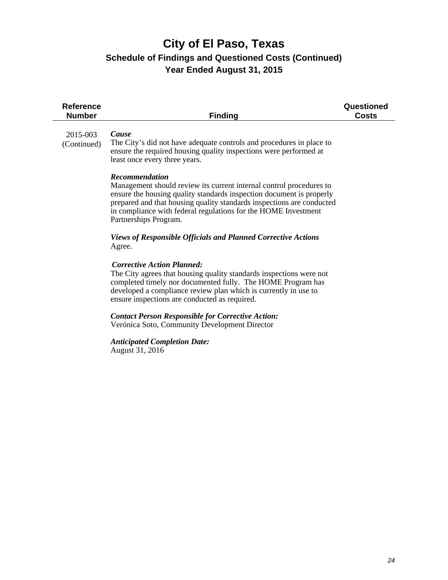| <b>Reference</b><br><b>Number</b> | <b>Finding</b>                                                                                                                                                                                                                                                                                                                           | Questioned<br><b>Costs</b> |
|-----------------------------------|------------------------------------------------------------------------------------------------------------------------------------------------------------------------------------------------------------------------------------------------------------------------------------------------------------------------------------------|----------------------------|
| 2015-003<br>(Continued)           | Cause<br>The City's did not have adequate controls and procedures in place to<br>ensure the required housing quality inspections were performed at<br>least once every three years.                                                                                                                                                      |                            |
|                                   | <b>Recommendation</b><br>Management should review its current internal control procedures to<br>ensure the housing quality standards inspection document is properly<br>prepared and that housing quality standards inspections are conducted<br>in compliance with federal regulations for the HOME Investment<br>Partnerships Program. |                            |
|                                   | <b>Views of Responsible Officials and Planned Corrective Actions</b><br>Agree.                                                                                                                                                                                                                                                           |                            |
|                                   | <b>Corrective Action Planned:</b><br>The City agrees that housing quality standards inspections were not<br>completed timely nor documented fully. The HOME Program has<br>developed a compliance review plan which is currently in use to<br>ensure inspections are conducted as required.                                              |                            |
|                                   | <b>Contact Person Responsible for Corrective Action:</b><br>Verónica Soto, Community Development Director                                                                                                                                                                                                                                |                            |
|                                   | <b>Anticipated Completion Date:</b><br>August 31, 2016                                                                                                                                                                                                                                                                                   |                            |
|                                   |                                                                                                                                                                                                                                                                                                                                          |                            |
|                                   |                                                                                                                                                                                                                                                                                                                                          |                            |
|                                   |                                                                                                                                                                                                                                                                                                                                          |                            |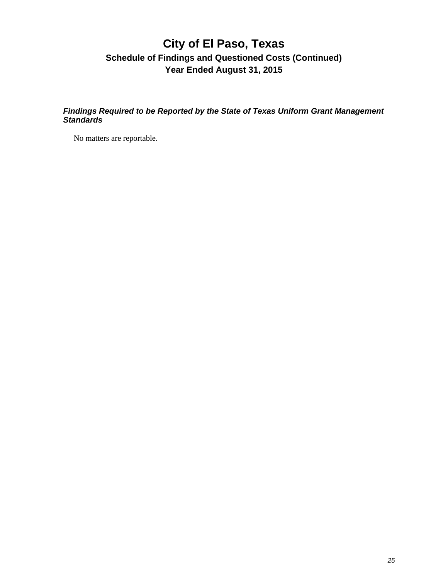*Findings Required to be Reported by the State of Texas Uniform Grant Management Standards* 

No matters are reportable.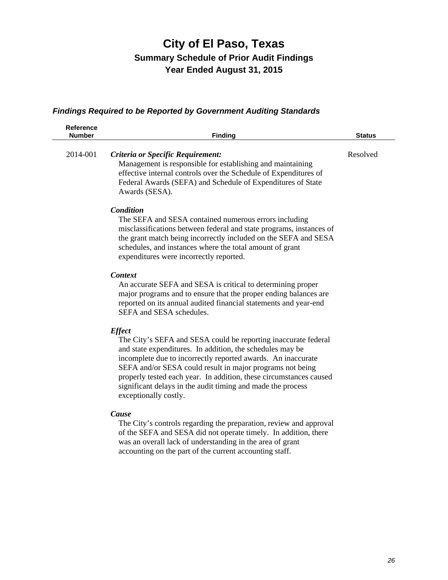### *Findings Required to be Reported by Government Auditing Standards*

| Resolved |
|----------|
|          |
|          |
|          |
|          |
|          |
|          |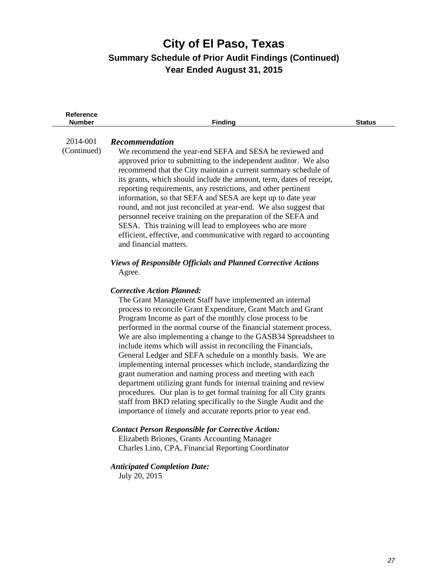| <b>Reference</b><br><b>Number</b> | <b>Finding</b>                                                                                                                                                                                                                                                                                                                                                                                                                                                                                                                                                                                                                                                                                                                                                                                                                                                                                                      | <b>Status</b> |
|-----------------------------------|---------------------------------------------------------------------------------------------------------------------------------------------------------------------------------------------------------------------------------------------------------------------------------------------------------------------------------------------------------------------------------------------------------------------------------------------------------------------------------------------------------------------------------------------------------------------------------------------------------------------------------------------------------------------------------------------------------------------------------------------------------------------------------------------------------------------------------------------------------------------------------------------------------------------|---------------|
| 2014-001<br>(Continued)           | <b>Recommendation</b><br>We recommend the year-end SEFA and SESA be reviewed and<br>approved prior to submitting to the independent auditor. We also<br>recommend that the City maintain a current summary schedule of<br>its grants, which should include the amount, term, dates of receipt,<br>reporting requirements, any restrictions, and other pertinent<br>information, so that SEFA and SESA are kept up to date year<br>round, and not just reconciled at year-end. We also suggest that<br>personnel receive training on the preparation of the SEFA and<br>SESA. This training will lead to employees who are more<br>efficient, effective, and communicative with regard to accounting<br>and financial matters.                                                                                                                                                                                       |               |
|                                   | <b>Views of Responsible Officials and Planned Corrective Actions</b><br>Agree.                                                                                                                                                                                                                                                                                                                                                                                                                                                                                                                                                                                                                                                                                                                                                                                                                                      |               |
|                                   | <b>Corrective Action Planned:</b><br>The Grant Management Staff have implemented an internal<br>process to reconcile Grant Expenditure, Grant Match and Grant<br>Program Income as part of the monthly close process to be<br>performed in the normal course of the financial statement process.<br>We are also implementing a change to the GASB34 Spreadsheet to<br>include items which will assist in reconciling the Financials,<br>General Ledger and SEFA schedule on a monthly basis. We are<br>implementing internal processes which include, standardizing the<br>grant numeration and naming process and meeting with each<br>department utilizing grant funds for internal training and review<br>procedures. Our plan is to get formal training for all City grants<br>staff from BKD relating specifically to the Single Audit and the<br>importance of timely and accurate reports prior to year end. |               |
|                                   | <b>Contact Person Responsible for Corrective Action:</b><br>Elizabeth Briones, Grants Accounting Manager<br>Charles Lino, CPA, Financial Reporting Coordinator                                                                                                                                                                                                                                                                                                                                                                                                                                                                                                                                                                                                                                                                                                                                                      |               |
|                                   | <b>Anticipated Completion Date:</b><br>July 20, 2015                                                                                                                                                                                                                                                                                                                                                                                                                                                                                                                                                                                                                                                                                                                                                                                                                                                                |               |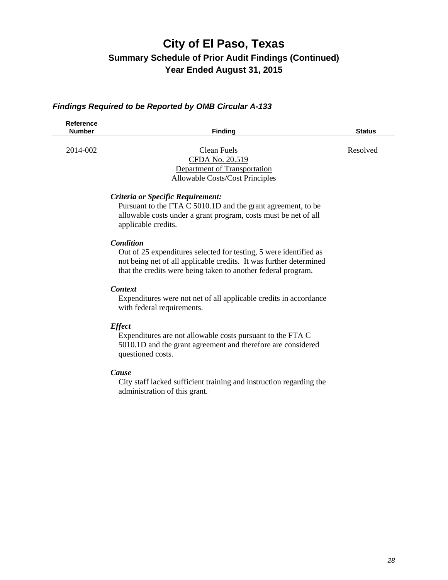#### *Findings Required to be Reported by OMB Circular A-133*

| <b>Reference</b><br><b>Number</b> | <b>Finding</b>                                                                                                                          | <b>Status</b> |
|-----------------------------------|-----------------------------------------------------------------------------------------------------------------------------------------|---------------|
|                                   |                                                                                                                                         |               |
| 2014-002                          | Clean Fuels                                                                                                                             | Resolved      |
|                                   | CFDA No. 20.519                                                                                                                         |               |
|                                   | Department of Transportation                                                                                                            |               |
|                                   | <b>Allowable Costs/Cost Principles</b>                                                                                                  |               |
|                                   | Criteria or Specific Requirement:                                                                                                       |               |
|                                   | Pursuant to the FTA C 5010.1D and the grant agreement, to be                                                                            |               |
|                                   | allowable costs under a grant program, costs must be net of all<br>applicable credits.                                                  |               |
|                                   | <b>Condition</b>                                                                                                                        |               |
|                                   | Out of 25 expenditures selected for testing, 5 were identified as<br>not being net of all applicable credits. It was further determined |               |
|                                   | that the credits were being taken to another federal program.                                                                           |               |
|                                   | <b>Context</b>                                                                                                                          |               |
|                                   | Expenditures were not net of all applicable credits in accordance                                                                       |               |

with federal requirements.

#### *Effect*

 Expenditures are not allowable costs pursuant to the FTA C 5010.1D and the grant agreement and therefore are considered questioned costs.

#### *Cause*

 City staff lacked sufficient training and instruction regarding the administration of this grant.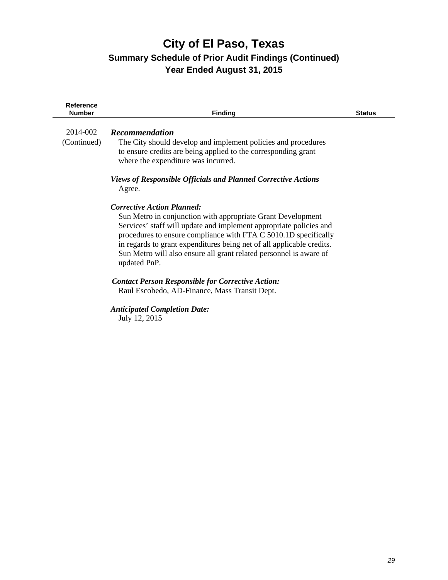| <b>Reference</b><br><b>Number</b> | <b>Finding</b>                                                                                                                                                                                                                                                                                                                                                                                           | <b>Status</b> |
|-----------------------------------|----------------------------------------------------------------------------------------------------------------------------------------------------------------------------------------------------------------------------------------------------------------------------------------------------------------------------------------------------------------------------------------------------------|---------------|
| 2014-002<br>(Continued)           | <b>Recommendation</b><br>The City should develop and implement policies and procedures<br>to ensure credits are being applied to the corresponding grant<br>where the expenditure was incurred.                                                                                                                                                                                                          |               |
|                                   | <b>Views of Responsible Officials and Planned Corrective Actions</b><br>Agree.                                                                                                                                                                                                                                                                                                                           |               |
|                                   | <b>Corrective Action Planned:</b><br>Sun Metro in conjunction with appropriate Grant Development<br>Services' staff will update and implement appropriate policies and<br>procedures to ensure compliance with FTA C 5010.1D specifically<br>in regards to grant expenditures being net of all applicable credits.<br>Sun Metro will also ensure all grant related personnel is aware of<br>updated PnP. |               |
|                                   | <b>Contact Person Responsible for Corrective Action:</b><br>Raul Escobedo, AD-Finance, Mass Transit Dept.                                                                                                                                                                                                                                                                                                |               |
|                                   | <b>Anticipated Completion Date:</b><br>July 12, 2015                                                                                                                                                                                                                                                                                                                                                     |               |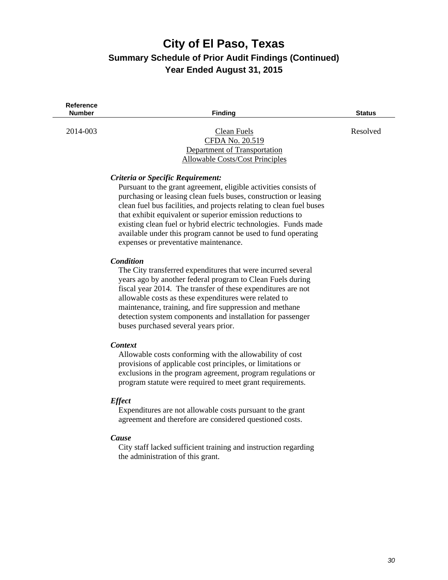| Reference<br>Number | <b>Finding</b>                                                                                                                                                                                                                                                                                                                                                                                                                                                                               | <b>Status</b> |
|---------------------|----------------------------------------------------------------------------------------------------------------------------------------------------------------------------------------------------------------------------------------------------------------------------------------------------------------------------------------------------------------------------------------------------------------------------------------------------------------------------------------------|---------------|
| 2014-003            | <b>Clean Fuels</b><br>CFDA No. 20.519<br>Department of Transportation<br><b>Allowable Costs/Cost Principles</b>                                                                                                                                                                                                                                                                                                                                                                              | Resolved      |
|                     | Criteria or Specific Requirement:<br>Pursuant to the grant agreement, eligible activities consists of<br>purchasing or leasing clean fuels buses, construction or leasing<br>clean fuel bus facilities, and projects relating to clean fuel buses<br>that exhibit equivalent or superior emission reductions to<br>existing clean fuel or hybrid electric technologies. Funds made<br>available under this program cannot be used to fund operating<br>expenses or preventative maintenance. |               |
|                     | <b>Condition</b><br>The City transferred expenditures that were incurred several<br>years ago by another federal program to Clean Fuels during<br>fiscal year 2014. The transfer of these expenditures are not<br>allowable costs as these expenditures were related to<br>maintenance, training, and fire suppression and methane<br>detection system components and installation for passenger<br>buses purchased several years prior.                                                     |               |
|                     | <b>Context</b><br>Allowable costs conforming with the allowability of cost<br>provisions of applicable cost principles, or limitations or<br>exclusions in the program agreement, program regulations or<br>program statute were required to meet grant requirements.                                                                                                                                                                                                                        |               |
|                     | <b>Effect</b><br>Expenditures are not allowable costs pursuant to the grant<br>agreement and therefore are considered questioned costs.                                                                                                                                                                                                                                                                                                                                                      |               |
|                     | Cause<br>City staff lacked sufficient training and instruction regarding                                                                                                                                                                                                                                                                                                                                                                                                                     |               |

the administration of this grant.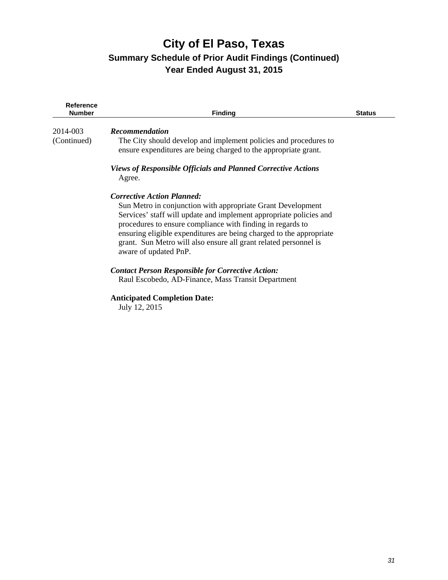| <b>Reference</b><br><b>Number</b> | <b>Finding</b>                                                                                                                                                                                                                                                                                                                                                                                           | <b>Status</b> |
|-----------------------------------|----------------------------------------------------------------------------------------------------------------------------------------------------------------------------------------------------------------------------------------------------------------------------------------------------------------------------------------------------------------------------------------------------------|---------------|
| 2014-003<br>(Continued)           | Recommendation<br>The City should develop and implement policies and procedures to<br>ensure expenditures are being charged to the appropriate grant.                                                                                                                                                                                                                                                    |               |
|                                   | <b>Views of Responsible Officials and Planned Corrective Actions</b><br>Agree.                                                                                                                                                                                                                                                                                                                           |               |
|                                   | <b>Corrective Action Planned:</b><br>Sun Metro in conjunction with appropriate Grant Development<br>Services' staff will update and implement appropriate policies and<br>procedures to ensure compliance with finding in regards to<br>ensuring eligible expenditures are being charged to the appropriate<br>grant. Sun Metro will also ensure all grant related personnel is<br>aware of updated PnP. |               |
|                                   | <b>Contact Person Responsible for Corrective Action:</b><br>Raul Escobedo, AD-Finance, Mass Transit Department                                                                                                                                                                                                                                                                                           |               |
|                                   | <b>Anticipated Completion Date:</b><br>July 12, 2015                                                                                                                                                                                                                                                                                                                                                     |               |
|                                   |                                                                                                                                                                                                                                                                                                                                                                                                          |               |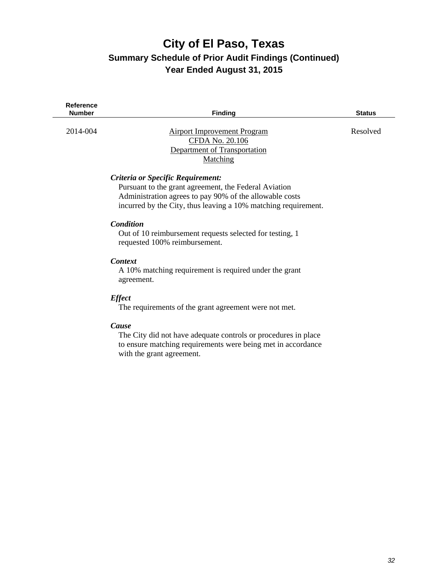| <b>Reference</b><br><b>Number</b> | <b>Finding</b>                                                                                                                                                                                                          | <b>Status</b> |
|-----------------------------------|-------------------------------------------------------------------------------------------------------------------------------------------------------------------------------------------------------------------------|---------------|
| 2014-004                          | <b>Airport Improvement Program</b><br>CFDA No. 20.106<br>Department of Transportation<br>Matching                                                                                                                       | Resolved      |
|                                   | Criteria or Specific Requirement:<br>Pursuant to the grant agreement, the Federal Aviation<br>Administration agrees to pay 90% of the allowable costs<br>incurred by the City, thus leaving a 10% matching requirement. |               |
|                                   | Condition<br>Out of 10 reimbursement requests selected for testing, 1<br>requested 100% reimbursement.                                                                                                                  |               |
|                                   | <b>Context</b><br>A 10% matching requirement is required under the grant<br>agreement.                                                                                                                                  |               |
|                                   | <b>Effect</b><br>The requirements of the grant agreement were not met.                                                                                                                                                  |               |
|                                   | Cause<br>The City did not have adequate controls or procedures in place<br>to ensure matching requirements were being met in accordance<br>with the grant agreement.                                                    |               |
|                                   |                                                                                                                                                                                                                         |               |
|                                   |                                                                                                                                                                                                                         |               |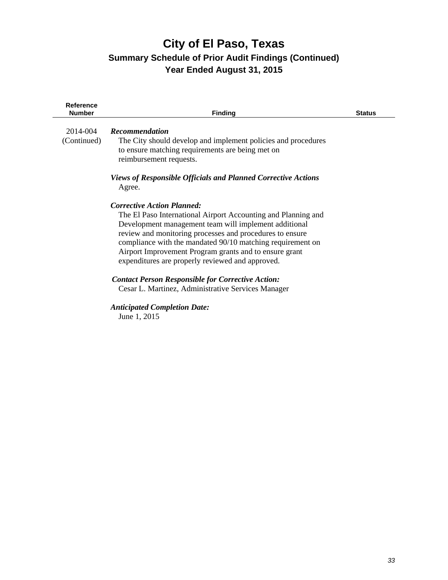| <b>Reference</b><br><b>Number</b> | <b>Finding</b>                                                                                                                                                                                                                                                                                                                                                                                      | <b>Status</b> |
|-----------------------------------|-----------------------------------------------------------------------------------------------------------------------------------------------------------------------------------------------------------------------------------------------------------------------------------------------------------------------------------------------------------------------------------------------------|---------------|
| 2014-004<br>(Continued)           | Recommendation<br>The City should develop and implement policies and procedures<br>to ensure matching requirements are being met on<br>reimbursement requests.                                                                                                                                                                                                                                      |               |
|                                   | <b>Views of Responsible Officials and Planned Corrective Actions</b><br>Agree.                                                                                                                                                                                                                                                                                                                      |               |
|                                   | <b>Corrective Action Planned:</b><br>The El Paso International Airport Accounting and Planning and<br>Development management team will implement additional<br>review and monitoring processes and procedures to ensure<br>compliance with the mandated 90/10 matching requirement on<br>Airport Improvement Program grants and to ensure grant<br>expenditures are properly reviewed and approved. |               |
|                                   | <b>Contact Person Responsible for Corrective Action:</b><br>Cesar L. Martinez, Administrative Services Manager                                                                                                                                                                                                                                                                                      |               |
|                                   | <b>Anticipated Completion Date:</b><br>June 1, 2015                                                                                                                                                                                                                                                                                                                                                 |               |
|                                   |                                                                                                                                                                                                                                                                                                                                                                                                     |               |
|                                   |                                                                                                                                                                                                                                                                                                                                                                                                     |               |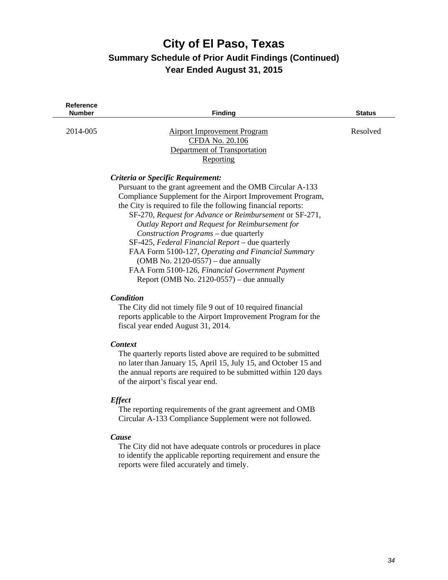| <b>Reference</b><br>Number | <b>Finding</b>                                                  | <b>Status</b> |
|----------------------------|-----------------------------------------------------------------|---------------|
|                            |                                                                 |               |
| 2014-005                   | <b>Airport Improvement Program</b>                              | Resolved      |
|                            | CFDA No. 20.106                                                 |               |
|                            | Department of Transportation                                    |               |
|                            | Reporting                                                       |               |
|                            | Criteria or Specific Requirement:                               |               |
|                            | Pursuant to the grant agreement and the OMB Circular A-133      |               |
|                            | Compliance Supplement for the Airport Improvement Program,      |               |
|                            | the City is required to file the following financial reports:   |               |
|                            | SF-270, Request for Advance or Reimbursement or SF-271,         |               |
|                            | Outlay Report and Request for Reimbursement for                 |               |
|                            | Construction Programs – due quarterly                           |               |
|                            | SF-425, Federal Financial Report – due quarterly                |               |
|                            | FAA Form 5100-127, Operating and Financial Summary              |               |
|                            | $(OMB No. 2120-0557)$ – due annually                            |               |
|                            | FAA Form 5100-126, Financial Government Payment                 |               |
|                            | Report (OMB No. $2120-0557$ ) – due annually                    |               |
|                            | <b>Condition</b>                                                |               |
|                            | The City did not timely file 9 out of 10 required financial     |               |
|                            | reports applicable to the Airport Improvement Program for the   |               |
|                            | fiscal year ended August 31, 2014.                              |               |
|                            | <b>Context</b>                                                  |               |
|                            | The quarterly reports listed above are required to be submitted |               |
|                            | no later than January 15, April 15, July 15, and October 15 and |               |
|                            | the annual reports are required to be submitted within 120 days |               |
|                            | of the airport's fiscal year end.                               |               |
|                            | <b>Effect</b>                                                   |               |
|                            | The reporting requirements of the grant agreement and OMB       |               |
|                            | Circular A-133 Compliance Supplement were not followed.         |               |
|                            | Cause                                                           |               |
|                            | The City did not have adequate controls or procedures in place  |               |
|                            | to identify the applicable reporting requirement and ensure the |               |
|                            | reports were filed accurately and timely.                       |               |
|                            |                                                                 |               |
|                            |                                                                 |               |
|                            |                                                                 |               |
|                            |                                                                 |               |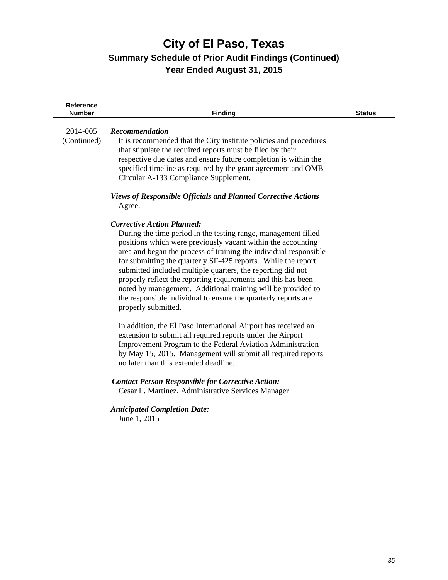| <b>Reference</b><br><b>Number</b> | <b>Finding</b>                                                                                                                                                                                                                                                                                                                                                                                                                                                                                                                                                                                     | <b>Status</b> |
|-----------------------------------|----------------------------------------------------------------------------------------------------------------------------------------------------------------------------------------------------------------------------------------------------------------------------------------------------------------------------------------------------------------------------------------------------------------------------------------------------------------------------------------------------------------------------------------------------------------------------------------------------|---------------|
| 2014-005<br>(Continued)           | Recommendation<br>It is recommended that the City institute policies and procedures<br>that stipulate the required reports must be filed by their<br>respective due dates and ensure future completion is within the<br>specified timeline as required by the grant agreement and OMB<br>Circular A-133 Compliance Supplement.                                                                                                                                                                                                                                                                     |               |
|                                   | <b>Views of Responsible Officials and Planned Corrective Actions</b><br>Agree.                                                                                                                                                                                                                                                                                                                                                                                                                                                                                                                     |               |
|                                   | <b>Corrective Action Planned:</b><br>During the time period in the testing range, management filled<br>positions which were previously vacant within the accounting<br>area and began the process of training the individual responsible<br>for submitting the quarterly SF-425 reports. While the report<br>submitted included multiple quarters, the reporting did not<br>properly reflect the reporting requirements and this has been<br>noted by management. Additional training will be provided to<br>the responsible individual to ensure the quarterly reports are<br>properly submitted. |               |
|                                   | In addition, the El Paso International Airport has received an<br>extension to submit all required reports under the Airport<br>Improvement Program to the Federal Aviation Administration<br>by May 15, 2015. Management will submit all required reports<br>no later than this extended deadline.                                                                                                                                                                                                                                                                                                |               |
|                                   | <b>Contact Person Responsible for Corrective Action:</b><br>Cesar L. Martinez, Administrative Services Manager                                                                                                                                                                                                                                                                                                                                                                                                                                                                                     |               |
|                                   | <b>Anticipated Completion Date:</b><br>June 1, 2015                                                                                                                                                                                                                                                                                                                                                                                                                                                                                                                                                |               |
|                                   |                                                                                                                                                                                                                                                                                                                                                                                                                                                                                                                                                                                                    |               |